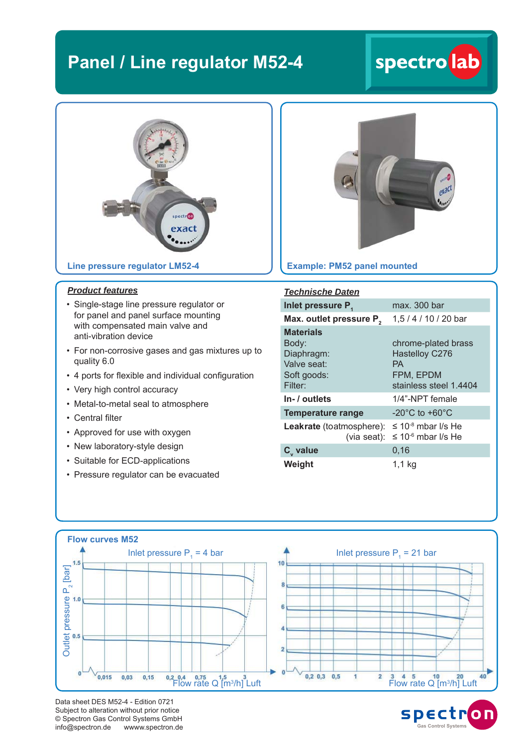### **Panel / Line regulator M52-4**

# spectro lab



**Line pressure regulator LM52-4**

#### *Product features*

- Single-stage line pressure regulator or for panel and panel surface mounting with compensated main valve and anti-vibration device
- For non-corrosive gases and gas mixtures up to quality 6.0
- 4 ports for flexible and individual configuration
- Very high control accuracy
- Metal-to-metal seal to atmosphere
- Central filter
- Approved for use with oxygen
- New laboratory-style design
- Suitable for ECD-applications
- Pressure regulator can be evacuated



#### **Example: PM52 panel mounted**

| <b>Technische Daten</b>                                                          |                                                                                    |
|----------------------------------------------------------------------------------|------------------------------------------------------------------------------------|
| Inlet pressure P.                                                                | max. 300 bar                                                                       |
| Max. outlet pressure P <sub>2</sub>                                              | 1,5 / 4 / 10 / 20 bar                                                              |
| <b>Materials</b><br>Body:<br>Diaphragm:<br>Valve seat:<br>Soft goods:<br>Filter: | chrome-plated brass<br>Hastelloy C276<br>PА<br>FPM, EPDM<br>stainless steel 1.4404 |
| In- / outlets                                                                    | 1/4"-NPT female                                                                    |
| Temperature range                                                                | $-20^{\circ}$ C to $+60^{\circ}$ C                                                 |
| Leakrate (toatmosphere):<br>(via seat):                                          | ≤ 10 <sup>-8</sup> mbar I/s He<br>≤ 10 <sup>-6</sup> mbar l/s He                   |
| $C_{v}$ value                                                                    | 0,16                                                                               |
| Weight                                                                           | 1.1 kg                                                                             |